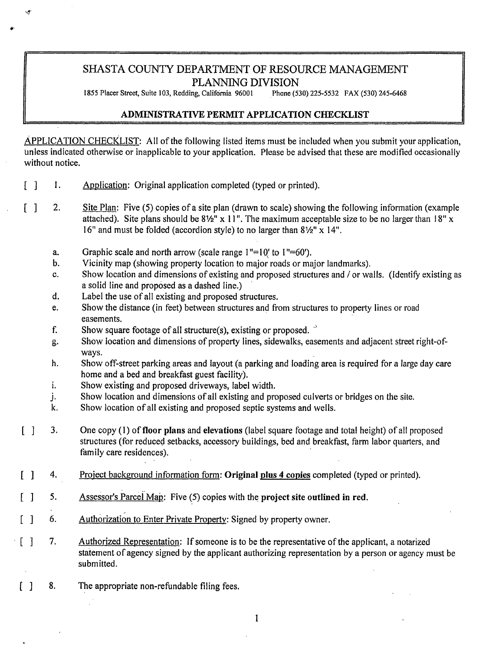# SHASTA COUNTY DEPARTMENT OF RESOURCE MANAGEMENT PLANNING DIVISION<br>ng, California 96001 Phone (530) 225-5532 FAX (530) 245-6468

1855 Placer Street, Suite 103, Redding, California 96001

# **ADMINISTRATIVE PERMIT APPLICATION CHECKLIST**

APPLICATION CHECKLIST: All of the following listed items must be included when you submit your application, unless indicated otherwise or inapplicable to your application. Please be advised that these are modified occasionally without notice.

- $\lceil$   $\rceil$ I. Application: Original application completed (typed or printed).
- $\lceil$   $\rceil$ 2. Site Plan: Five (5) copies of a site plan (drawn to scale) showing the following information (example attached). Site plans should be  $8\frac{1}{2}$ " x 11". The maximum acceptable size to be no larger than 18" x 16" and must be folded (accordion style) to no larger than  $8\frac{1}{2}$ " x 14".
	- a. Graphic scale and north arrow (scale range  $1" = 10'$  to  $1" = 60'$ ).
	- b. Vicinity map (showing property location to major roads or major landmarks).
	- C. Show location and dimensions of existing and proposed structures and / or walls. (Identify existing as a solid line and proposed as a dashed line.)
	- d. Label the use of all existing and proposed structures.
	- e. Show the distance (in feet) between structures and from structures to property lines or road easements.
	- f. Show square footage of all structure(s), existing or proposed.  $\degree$
	- g. Show location and dimensions of property lines, sidewalks, easements and adjacent street right-ofways.
	- h. Show off-street parking areas and layout (a parking and loading area is required for a large day care home and a bed and breakfast guest facility).
	- i. Show existing and proposed driveways, label width.
	- j. Show location and dimensions of all existing and proposed culverts or bridges on the site.
	- k. Show location of all existing and proposed septic systems and wells.
- $\lceil$   $\rceil$ 3. One copy (I) of **floor plans** and **elevations** (label square footage and total height) of all proposed structures (for reduced setbacks, accessory buildings, bed and breakfast, farm labor quarters, and family care residences).
- $\lceil$  1 4. Proiect background information form: **Original plus 4 copies** completed (typed or printed).
- [ ] 5. Assessor's Parcel Map: Five (5) copies with the project site outlined in red.
- $\begin{bmatrix} 1 & 6. \end{bmatrix}$ Authorization to Enter Private Property: Signed by property owner.
- $\lceil$  1 7. Authorized Representation: If someone is to be the representative of the applicant, a notarized statement of agency signed by the applicant authorizing representation by a person or agency must be submitted.
- [ ] 8. The appropriate non-refundable filing fees.

1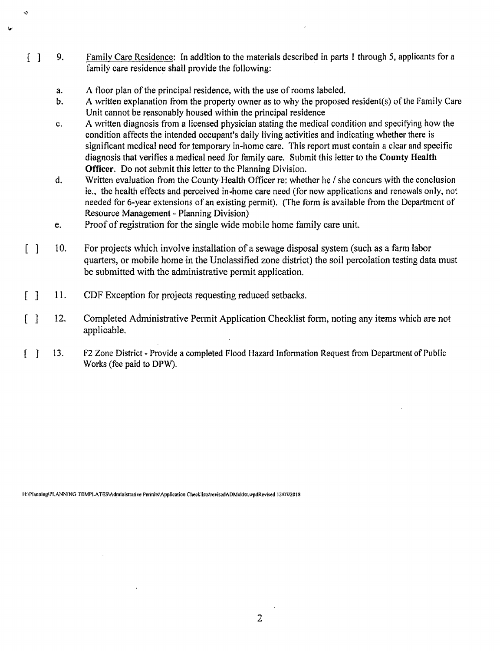- [ ] 9. Family Care Residence: In addition to the materials described in parts 1 through 5, applicants for a family care residence shall provide the following:
	- a. A floor plan of the principal residence, with the use of rooms labeled.

J.

- b. A written explanation from the property owner as to why the proposed resident(s) of the Family Care Unit cannot be reasonably housed within the principal residence
- c. A written diagnosis from a licensed physician stating the medical condition and specifying how the condition affects the intended occupant's daily living activities and indicating whether there is significant medical need for temporary in-home care. This report must contain a clear and specific diagnosis that verifies a medical need for family care. Submit this letter to the **County Health Officer.** Do not submit this letter to the Planning Division.
- d. Written evaluation from the County-Health Officer re: whether he/ she concurs with the conclusion ie., the health effects and perceived in-home care need (for new applications and renewals only, not needed for 6-year extensions of an existing permit). (The form is available from the Department of Resource Management - Planning Division)
- e. Proof of registration for the single wide mobile home family care unit.
- [ ] 10. For projects which involve installation of a sewage disposal system (such as a farm labor quarters, or mobile home in the Unclassified zone district) the soil percolation testing data must be submitted with the administrative permit application.
- $[ ] 11.$ CDF Exception for projects requesting reduced setbacks.
- $\lceil$  12. Completed Administrative Permit Application Checklist form, noting any items which are not applicable.
- $[ ] 13.$ F2 Zone District - Provide a completed Flood Hazard Information Request from Department of Public Works (fee paid to DPW).

H:\Planning\PI.ANNING TEMPLATES\Administrative Perinits\Application Checklists\revisedADMcklst,wpdRevised 12/07/2018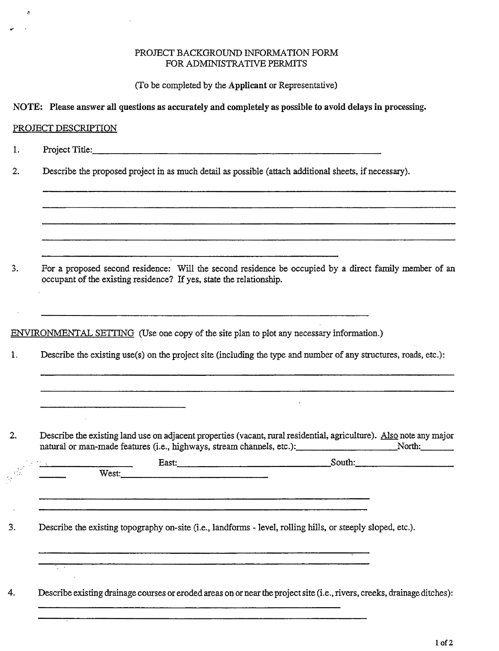### PROJECT BACKGROUND INFORMATION FORM FOR ADMINISTRATIVE PERMITS

(To be completed by the **Applicant** or Representative)

**NOTE: Please answer all questions as accurately and completely as possible to avoid delays in processing.** 

## PROJECT DESCRIPTION

k.

1. Project Title: \_\_\_\_\_\_\_\_\_\_\_\_\_\_\_\_\_\_\_\_\_\_\_\_\_ \_

2. Describe the proposed project in as much detail as possible (attach additional sheets, if necessary).

3. For a proposed second residence: Will the second residence be occupied by a direct family member of an occupant of the existing residence? If yes, state the relationship.

ENVIRONMENTAL SETTING (Use one copy of the site plan to plot any necessary information.)

1. Describe the existing use(s) on the project site (including the type and number of any structures, roads, etc.):

2. Describe the existing land use on adjacent properties (vacant, rural residential, agriculture). Also note any major Describe the existing land use on adjacent properties (vacant, rural residential, agriculture). Also note any majo<br>natural or man-made features (i.e., highways, stream channels, etc.): \_\_\_\_\_\_\_\_\_\_\_\_\_\_\_\_\_\_\_\_\_\_\_\_\_\_\_\_North:\_\_\_

| East: $\frac{1}{2}$ $\frac{1}{2}$ $\frac{1}{2}$ $\frac{1}{2}$ $\frac{1}{2}$ $\frac{1}{2}$ $\frac{1}{2}$ | South: |
|---------------------------------------------------------------------------------------------------------|--------|
|                                                                                                         |        |
|                                                                                                         |        |
|                                                                                                         |        |

4. Describe existing drainage courses or eroded areas on or near the project site (i.e., rivers, creeks, drainage ditches):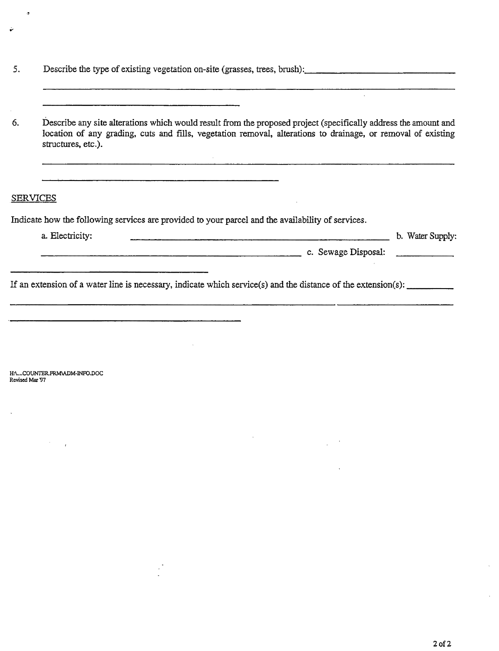5. Describe the type of existing vegetation on-site (grasses, trees, brush):

 $\mathbb{R}^2$ 

6. Describe any site alterations which would result from the proposed project (specifically address the amount and location of any grading, cuts and fills, vegetation removal, alterations to drainage, or removal of existing structures. etc.).

#### SERVICES

 $\ddot{\phantom{a}}$ 

ينا

Indicate how the following services are provided to your parcel and the availability of services.

| a. Electricity: |  |                     | b. Water Supply: |
|-----------------|--|---------------------|------------------|
|                 |  | c. Sewage Disposal: |                  |

If an extension of a water line is necessary, indicate which service(s) and the distance of the extension(s):  $\frac{1}{1-\frac{1}{\sqrt{1-\frac{1}{\sqrt{1-\frac{1}{\sqrt{1-\frac{1}{\sqrt{1-\frac{1}{\sqrt{1-\frac{1}{\sqrt{1-\frac{1}{\sqrt{1-\frac{1}{\sqrt{1-\frac{1}{\sqrt{1-\frac{1}{\sqrt{1-\frac{1}{\sqrt{1-\frac{1}{$ 

H:\..,.COUNTER.PRM\ADM•INFO,DOC Revised Mar '97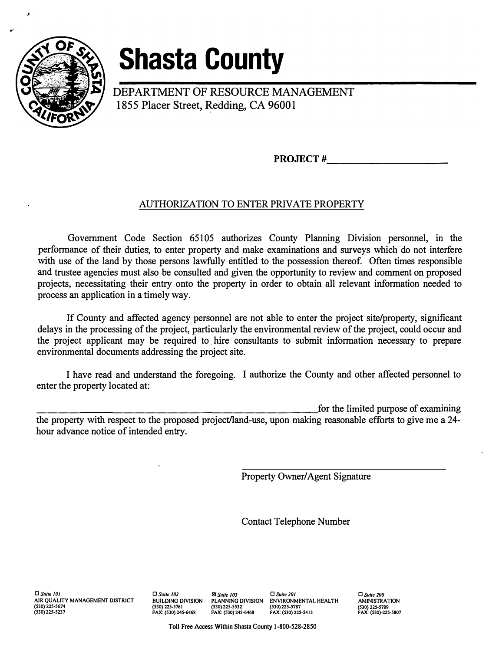

# **Shasta County**

DEPARTMENT OF RESOURCE MANAGEMENT 1855 Placer Street, Redding, CA 96001

**PROJECT# \_\_\_\_\_\_\_\_ \_** 

# AUTHORIZATION TO ENTER PRIVATE PROPERTY

Government Code Section 65105 authorizes County Planning Division personnel, in the performance of their duties, to enter property and make examinations and surveys which do not interfere with use of the land by those persons lawfully entitled to the possession thereof. Often times responsible and trustee agencies must also be consulted and given the opportunity to review and comment on proposed projects, necessitating their entry onto the property in order to obtain all relevant information needed to process an application in a timely way.

If County and affected agency personnel are not able to enter the project site/property, significant delays in the processing of the project, particularly the environmental review of the project, could occur and the project applicant may be required to hire consultants to submit information necessary to prepare environmental documents addressing the project site.

I have read and understand the foregoing. I authorize the County and other affected personnel to enter the property located at:

for the limited purpose of examining the property with respect to the proposed project/land-use, upon making reasonable efforts to give me a 24 hour advance notice of intended entry.

Property Owner/Agent Signature

Contact Telephone Number

**□** *Suite IOI*  **AIR QUALITY MANAGEMENT DISTRICT (530) 225-5674 (530) 225-5237** 

**□** *Suite /02*  **BUILDING DIVISION (530) 225-5761 FAX: (530) 245-6468**  *181 Suite /03* **□** *Suite 20/*  **PLANNING DIVISION ENVIRONMENTAL HEALTH (530) 225-5532 (530) 225-5787** 

**FAX: (530) 245-6468 FAX: (S30) 22S-S413** 

**□** *Suite 200*  **AMINISTRA TION (530) 22S-5789 FAX: (530)-22S-5807**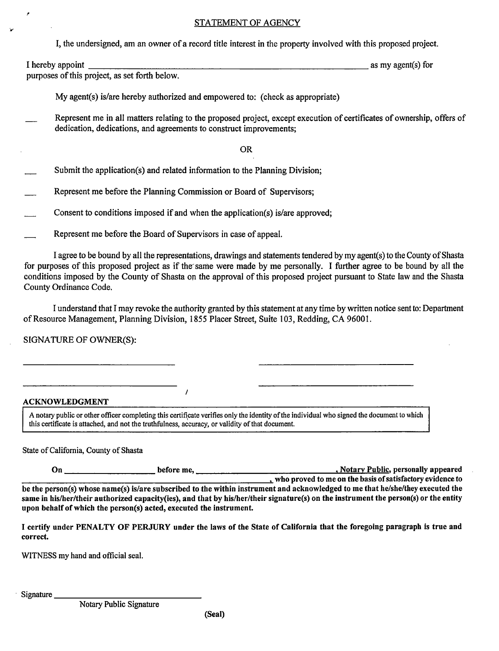### STATEMENT OF AGENCY

I, the undersigned, am an owner of a record title interest in the property involved with this proposed project.

I hereby appoint  $\Box$ purposes of this project, as set forth below.

My agent(s) is/are hereby authorized and empowered to: (check as appropriate)

Represent me in all matters relating to the proposed project, except execution of certificates of ownership, offers of dedication, dedications, and agreements to construct improvements;

OR

- Submit the application(s) and related information to the Planning Division;
- Represent me before the Planning Commission or Board of Supervisors;
- Consent to conditions imposed if and when the application(s) is/are approved;

 $\lambda$ 

Represent me before the Board of Supervisors in case of appeal.

I agree to be bound by all the representations, drawings and statements tendered by my agent(s) to the County of Shasta for purposes of this proposed project as if the'same were made by me personally. I further agree to be bound by all the conditions imposed by the County of Shasta on the approval of this proposed project pursuant to State law and the Shasta County Ordinance Code.

I understand that I may revoke the authority granted by this statement at any time by written notice sent to: Department of Resource Management, Planning Division, 1855 Placer Street, Suite 103, Redding, CA 96001.

SIGNATURE OF OWNER(S):

#### **ACKNOWLEDGMENT**

٠

A notary public or other officer completing this certificate verifies only the identity of the individual who signed the document to which this certificate is attached, and not the truthfulness, accuracy, or validity of that document.

#### State of California, County of Shasta

**On** \_\_\_\_\_\_\_\_\_ **before me,** • **Notary Public, personally appeared --------------------------who proved to me on the basis of satisfactory evidence to be the person(s) whose name(s) is/are subscribed to the within instrument and acknowledged to me that he/she/they executed the same in his/her/their authorized capacity(ies), and that by his/her/their signature(s) on the instrument the person(s) or the entity upon behalf of which the person(s) acted, executed the instrument.** 

I **certify under PENALTY OF PERJURY under the laws of the State of California that the foregoing paragraph is true and correct.** 

WITNESS my hand and official seal.

Signature \_\_\_\_\_\_

Notary Public Signature